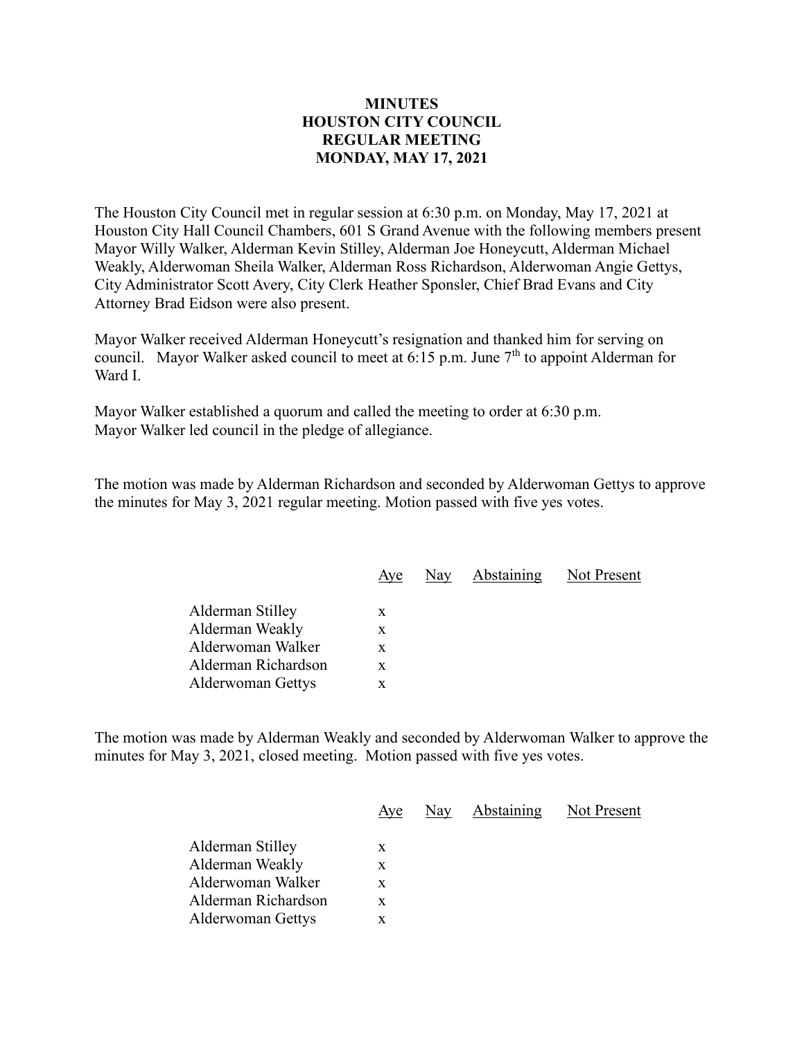## **MINUTES HOUSTON CITY COUNCIL REGULAR MEETING MONDAY, MAY 17, 2021**

The Houston City Council met in regular session at 6:30 p.m. on Monday, May 17, 2021 at Houston City Hall Council Chambers, 601 S Grand Avenue with the following members present Mayor Willy Walker, Alderman Kevin Stilley, Alderman Joe Honeycutt, Alderman Michael Weakly, Alderwoman Sheila Walker, Alderman Ross Richardson, Alderwoman Angie Gettys, City Administrator Scott Avery, City Clerk Heather Sponsler, Chief Brad Evans and City Attorney Brad Eidson were also present.

Mayor Walker received Alderman Honeycutt's resignation and thanked him for serving on council. Mayor Walker asked council to meet at 6:15 p.m. June  $7<sup>th</sup>$  to appoint Alderman for Ward I.

Mayor Walker established a quorum and called the meeting to order at 6:30 p.m. Mayor Walker led council in the pledge of allegiance.

The motion was made by Alderman Richardson and seconded by Alderwoman Gettys to approve the minutes for May 3, 2021 regular meeting. Motion passed with five yes votes.

| Aye |  | Not Present    |
|-----|--|----------------|
| X   |  |                |
| X   |  |                |
| X   |  |                |
| X   |  |                |
| x   |  |                |
|     |  | Nay Abstaining |

The motion was made by Alderman Weakly and seconded by Alderwoman Walker to approve the minutes for May 3, 2021, closed meeting. Motion passed with five yes votes.

|                          | Aye | Nay Abstaining Not Present |  |
|--------------------------|-----|----------------------------|--|
| Alderman Stilley         | X   |                            |  |
| Alderman Weakly          | X   |                            |  |
| Alderwoman Walker        | X   |                            |  |
| Alderman Richardson      | X   |                            |  |
| <b>Alderwoman Gettys</b> | X   |                            |  |
|                          |     |                            |  |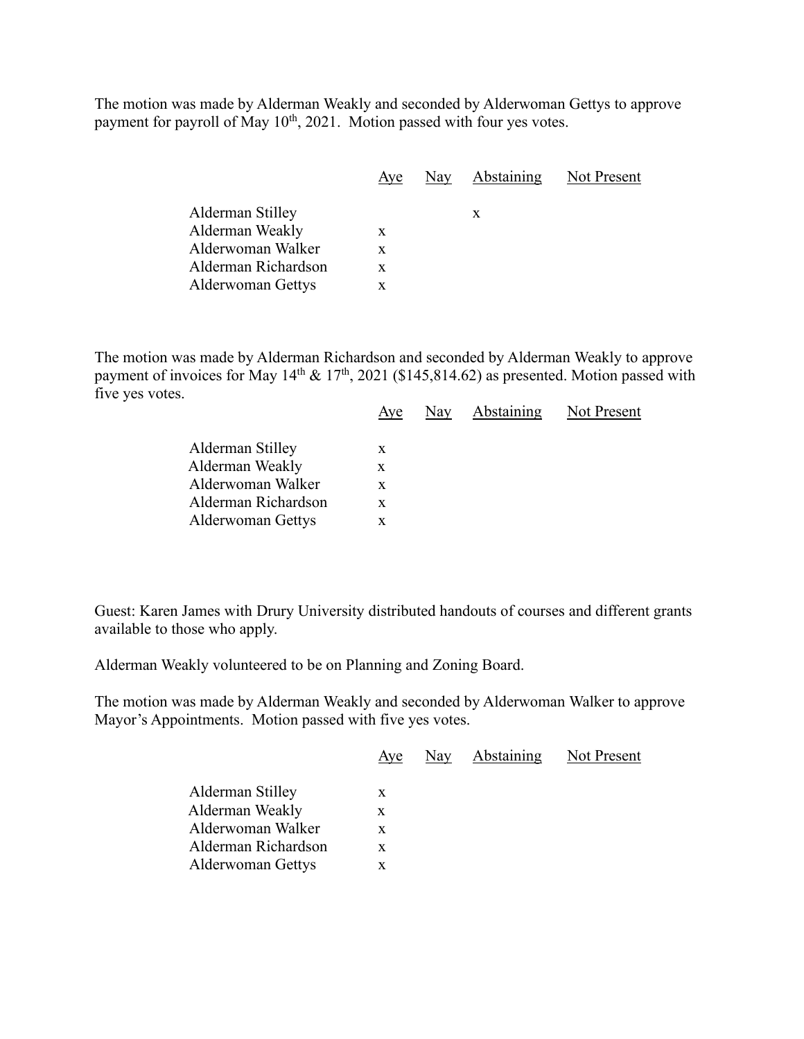The motion was made by Alderman Weakly and seconded by Alderwoman Gettys to approve payment for payroll of May  $10^{th}$ , 2021. Motion passed with four yes votes.

|                          | Aye | Nay Abstaining | Not Present |
|--------------------------|-----|----------------|-------------|
| Alderman Stilley         |     |                |             |
| Alderman Weakly          | X   | X              |             |
| Alderwoman Walker        | X   |                |             |
| Alderman Richardson      | X   |                |             |
| <b>Alderwoman Gettys</b> |     |                |             |

The motion was made by Alderman Richardson and seconded by Alderman Weakly to approve payment of invoices for May  $14<sup>th</sup>$  &  $17<sup>th</sup>$ , 2021 (\$145,814.62) as presented. Motion passed with five yes votes.

|                          | Aye | Nay | Abstaining | Not Present |
|--------------------------|-----|-----|------------|-------------|
| Alderman Stilley         | X   |     |            |             |
| Alderman Weakly          | X   |     |            |             |
| Alderwoman Walker        | X   |     |            |             |
| Alderman Richardson      | X   |     |            |             |
| <b>Alderwoman Gettys</b> |     |     |            |             |
|                          |     |     |            |             |

Guest: Karen James with Drury University distributed handouts of courses and different grants available to those who apply.

Alderman Weakly volunteered to be on Planning and Zoning Board.

The motion was made by Alderman Weakly and seconded by Alderwoman Walker to approve Mayor's Appointments. Motion passed with five yes votes.

|                          | Aye | Nay | Abstaining | Not Present |
|--------------------------|-----|-----|------------|-------------|
| Alderman Stilley         | X   |     |            |             |
| Alderman Weakly          | X   |     |            |             |
| Alderwoman Walker        | x   |     |            |             |
| Alderman Richardson      | X   |     |            |             |
| <b>Alderwoman Gettys</b> |     |     |            |             |
|                          |     |     |            |             |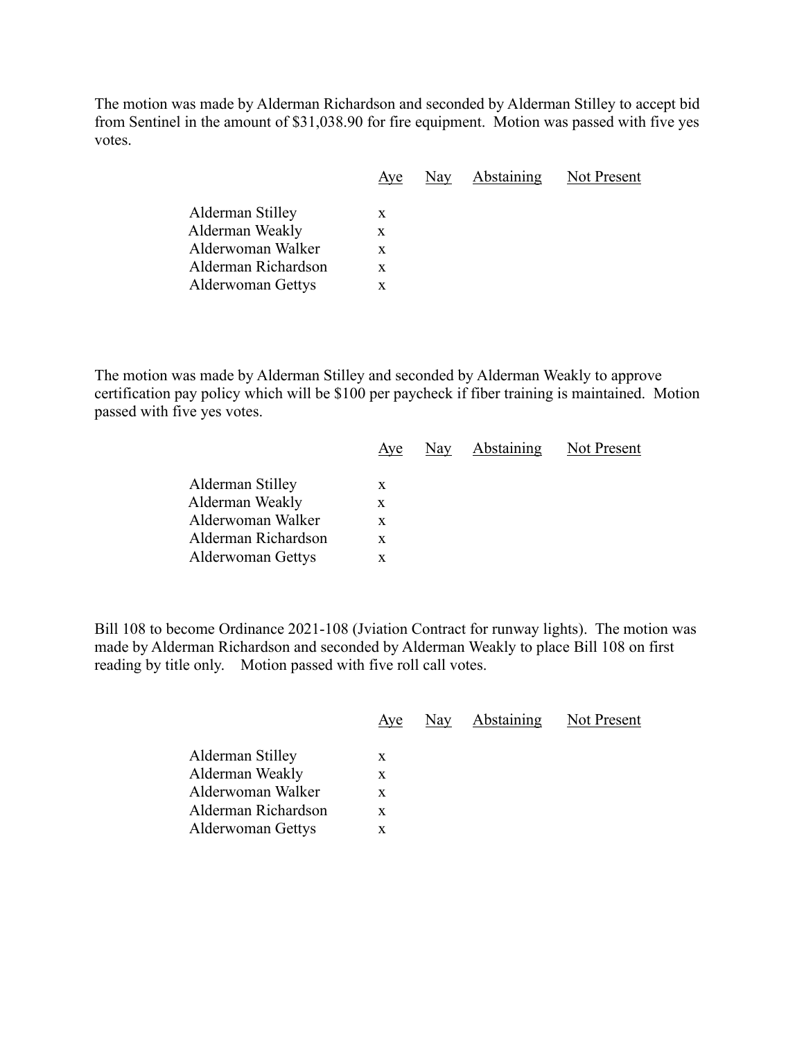The motion was made by Alderman Richardson and seconded by Alderman Stilley to accept bid from Sentinel in the amount of \$31,038.90 for fire equipment. Motion was passed with five yes votes.

|                          | Aye | Nay | <b>Abstaining</b> | Not Present |
|--------------------------|-----|-----|-------------------|-------------|
| Alderman Stilley         | X   |     |                   |             |
| Alderman Weakly          | X   |     |                   |             |
| Alderwoman Walker        | X   |     |                   |             |
| Alderman Richardson      | X   |     |                   |             |
| <b>Alderwoman Gettys</b> | X   |     |                   |             |
|                          |     |     |                   |             |

The motion was made by Alderman Stilley and seconded by Alderman Weakly to approve certification pay policy which will be \$100 per paycheck if fiber training is maintained. Motion passed with five yes votes.

|                          | Ave | $\frac{\text{Nay}}{\text{y}}$ | Abstaining | Not Present |
|--------------------------|-----|-------------------------------|------------|-------------|
| Alderman Stilley         | x   |                               |            |             |
| Alderman Weakly          | X   |                               |            |             |
| Alderwoman Walker        | X   |                               |            |             |
| Alderman Richardson      | X   |                               |            |             |
| <b>Alderwoman Gettys</b> | x   |                               |            |             |
|                          |     |                               |            |             |

Bill 108 to become Ordinance 2021-108 (Jviation Contract for runway lights). The motion was made by Alderman Richardson and seconded by Alderman Weakly to place Bill 108 on first reading by title only. Motion passed with five roll call votes.

|                                                                                                             | Aye                   | Nay | <b>Abstaining</b> | Not Present |
|-------------------------------------------------------------------------------------------------------------|-----------------------|-----|-------------------|-------------|
| Alderman Stilley<br>Alderman Weakly<br>Alderwoman Walker<br>Alderman Richardson<br><b>Alderwoman Gettys</b> | X<br>X<br>X<br>X<br>X |     |                   |             |
|                                                                                                             |                       |     |                   |             |